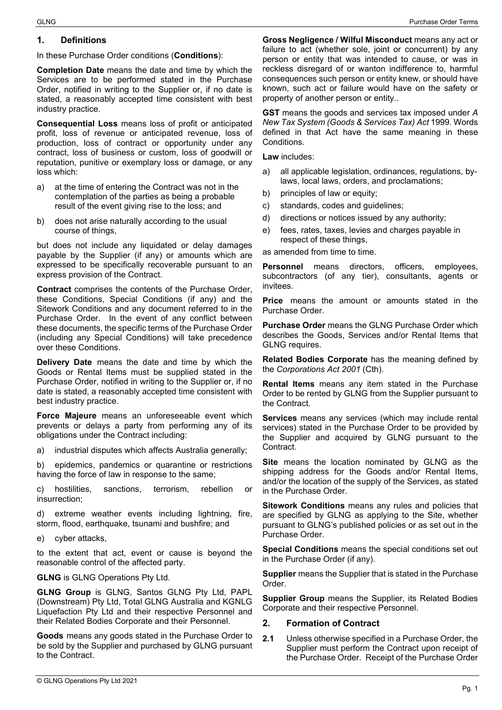#### **1. Definitions**

In these Purchase Order conditions (**Conditions**):

**Completion Date** means the date and time by which the Services are to be performed stated in the Purchase Order, notified in writing to the Supplier or, if no date is stated, a reasonably accepted time consistent with best industry practice.

**Consequential Loss** means loss of profit or anticipated profit, loss of revenue or anticipated revenue, loss of production, loss of contract or opportunity under any contract, loss of business or custom, loss of goodwill or reputation, punitive or exemplary loss or damage, or any loss which:

- a) at the time of entering the Contract was not in the contemplation of the parties as being a probable result of the event giving rise to the loss; and
- b) does not arise naturally according to the usual course of things,

but does not include any liquidated or delay damages payable by the Supplier (if any) or amounts which are expressed to be specifically recoverable pursuant to an express provision of the Contract.

**Contract** comprises the contents of the Purchase Order, these Conditions, Special Conditions (if any) and the Sitework Conditions and any document referred to in the Purchase Order. In the event of any conflict between these documents, the specific terms of the Purchase Order (including any Special Conditions) will take precedence over these Conditions.

**Delivery Date** means the date and time by which the Goods or Rental Items must be supplied stated in the Purchase Order, notified in writing to the Supplier or, if no date is stated, a reasonably accepted time consistent with best industry practice.

**Force Majeure** means an unforeseeable event which prevents or delays a party from performing any of its obligations under the Contract including:

a) industrial disputes which affects Australia generally;

b) epidemics, pandemics or quarantine or restrictions having the force of law in response to the same;

c) hostilities, sanctions, terrorism, rebellion or insurrection;

d) extreme weather events including lightning, fire, storm, flood, earthquake, tsunami and bushfire; and

e) cyber attacks,

to the extent that act, event or cause is beyond the reasonable control of the affected party.

**GLNG** is GLNG Operations Pty Ltd.

**GLNG Group** is GLNG, Santos GLNG Pty Ltd, PAPL (Downstream) Pty Ltd, Total GLNG Australia and KGNLG Liquefaction Pty Ltd and their respective Personnel and their Related Bodies Corporate and their Personnel.

**Goods** means any goods stated in the Purchase Order to be sold by the Supplier and purchased by GLNG pursuant to the Contract.

**Gross Negligence / Wilful Misconduct** means any act or failure to act (whether sole, joint or concurrent) by any person or entity that was intended to cause, or was in reckless disregard of or wanton indifference to, harmful consequences such person or entity knew, or should have known, such act or failure would have on the safety or property of another person or entity..

**GST** means the goods and services tax imposed under *A New Tax System (Goods & Services Tax) Act* 1999. Words defined in that Act have the same meaning in these Conditions.

**Law** includes:

- a) all applicable legislation, ordinances, regulations, bylaws, local laws, orders, and proclamations;
- b) principles of law or equity;
- c) standards, codes and guidelines;
- d) directions or notices issued by any authority;
- e) fees, rates, taxes, levies and charges payable in respect of these things,

as amended from time to time.

**Personnel** means directors, officers, employees, subcontractors (of any tier), consultants, agents or invitees.

**Price** means the amount or amounts stated in the Purchase Order.

**Purchase Order** means the GLNG Purchase Order which describes the Goods, Services and/or Rental Items that GLNG requires.

**Related Bodies Corporate** has the meaning defined by the *Corporations Act 2001* (Cth).

**Rental Items** means any item stated in the Purchase Order to be rented by GLNG from the Supplier pursuant to the Contract.

**Services** means any services (which may include rental services) stated in the Purchase Order to be provided by the Supplier and acquired by GLNG pursuant to the Contract.

**Site** means the location nominated by GLNG as the shipping address for the Goods and/or Rental Items, and/or the location of the supply of the Services, as stated in the Purchase Order.

**Sitework Conditions** means any rules and policies that are specified by GLNG as applying to the Site, whether pursuant to GLNG's published policies or as set out in the Purchase Order.

**Special Conditions** means the special conditions set out in the Purchase Order (if any).

**Supplier** means the Supplier that is stated in the Purchase Order.

**Supplier Group** means the Supplier, its Related Bodies Corporate and their respective Personnel.

### **2. Formation of Contract**

**2.1** Unless otherwise specified in a Purchase Order, the Supplier must perform the Contract upon receipt of the Purchase Order. Receipt of the Purchase Order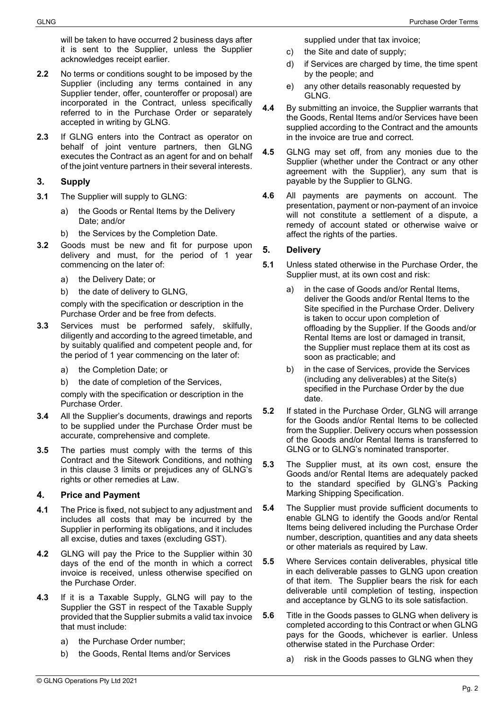will be taken to have occurred 2 business days after it is sent to the Supplier, unless the Supplier acknowledges receipt earlier.

- **2.2** No terms or conditions sought to be imposed by the Supplier (including any terms contained in any Supplier tender, offer, counteroffer or proposal) are incorporated in the Contract, unless specifically referred to in the Purchase Order or separately accepted in writing by GLNG.
- **2.3** If GLNG enters into the Contract as operator on behalf of joint venture partners, then GLNG executes the Contract as an agent for and on behalf of the joint venture partners in their several interests.

## <span id="page-1-0"></span>**3. Supply**

- **3.1** The Supplier will supply to GLNG:
	- a) the Goods or Rental Items by the Delivery Date; and/or
	- b) the Services by the Completion Date.
- <span id="page-1-1"></span>**3.2** Goods must be new and fit for purpose upon delivery and must, for the period of 1 year commencing on the later of:
	- a) the Delivery Date; or
	- b) the date of delivery to GLNG,

comply with the specification or description in the Purchase Order and be free from defects.

- <span id="page-1-2"></span>**3.3** Services must be performed safely, skilfully, diligently and according to the agreed timetable, and by suitably qualified and competent people and, for the period of 1 year commencing on the later of:
	- a) the Completion Date; or
	- b) the date of completion of the Services,

comply with the specification or description in the Purchase Order.

- **3.4** All the Supplier's documents, drawings and reports to be supplied under the Purchase Order must be accurate, comprehensive and complete.
- **3.5** The parties must comply with the terms of this Contract and the Sitework Conditions, and nothing in this clause [3](#page-1-0) limits or prejudices any of GLNG's rights or other remedies at Law.

#### **4. Price and Payment**

- **4.1** The Price is fixed, not subject to any adjustment and includes all costs that may be incurred by the Supplier in performing its obligations, and it includes all excise, duties and taxes (excluding GST).
- **4.2** GLNG will pay the Price to the Supplier within 30 days of the end of the month in which a correct invoice is received, unless otherwise specified on the Purchase Order.
- **4.3** If it is a Taxable Supply, GLNG will pay to the Supplier the GST in respect of the Taxable Supply provided that the Supplier submits a valid tax invoice that must include:
	- a) the Purchase Order number;
	- b) the Goods, Rental Items and/or Services

supplied under that tax invoice;

- c) the Site and date of supply;
- d) if Services are charged by time, the time spent by the people; and
- e) any other details reasonably requested by GLNG.
- **4.4** By submitting an invoice, the Supplier warrants that the Goods, Rental Items and/or Services have been supplied according to the Contract and the amounts in the invoice are true and correct.
- **4.5** GLNG may set off, from any monies due to the Supplier (whether under the Contract or any other agreement with the Supplier), any sum that is payable by the Supplier to GLNG.
- **4.6** All payments are payments on account. The presentation, payment or non-payment of an invoice will not constitute a settlement of a dispute, a remedy of account stated or otherwise waive or affect the rights of the parties.

## **5. Delivery**

- **5.1** Unless stated otherwise in the Purchase Order, the Supplier must, at its own cost and risk:
	- a) in the case of Goods and/or Rental Items, deliver the Goods and/or Rental Items to the Site specified in the Purchase Order. Delivery is taken to occur upon completion of offloading by the Supplier. If the Goods and/or Rental Items are lost or damaged in transit, the Supplier must replace them at its cost as soon as practicable; and
	- b) in the case of Services, provide the Services (including any deliverables) at the Site(s) specified in the Purchase Order by the due date.
- **5.2** If stated in the Purchase Order, GLNG will arrange for the Goods and/or Rental Items to be collected from the Supplier. Delivery occurs when possession of the Goods and/or Rental Items is transferred to GLNG or to GLNG's nominated transporter.
- **5.3** The Supplier must, at its own cost, ensure the Goods and/or Rental Items are adequately packed to the standard specified by GLNG's Packing Marking Shipping Specification.
- **5.4** The Supplier must provide sufficient documents to enable GLNG to identify the Goods and/or Rental Items being delivered including the Purchase Order number, description, quantities and any data sheets or other materials as required by Law.
- **5.5** Where Services contain deliverables, physical title in each deliverable passes to GLNG upon creation of that item. The Supplier bears the risk for each deliverable until completion of testing, inspection and acceptance by GLNG to its sole satisfaction.
- **5.6** Title in the Goods passes to GLNG when delivery is completed according to this Contract or when GLNG pays for the Goods, whichever is earlier. Unless otherwise stated in the Purchase Order:
	- a) risk in the Goods passes to GLNG when they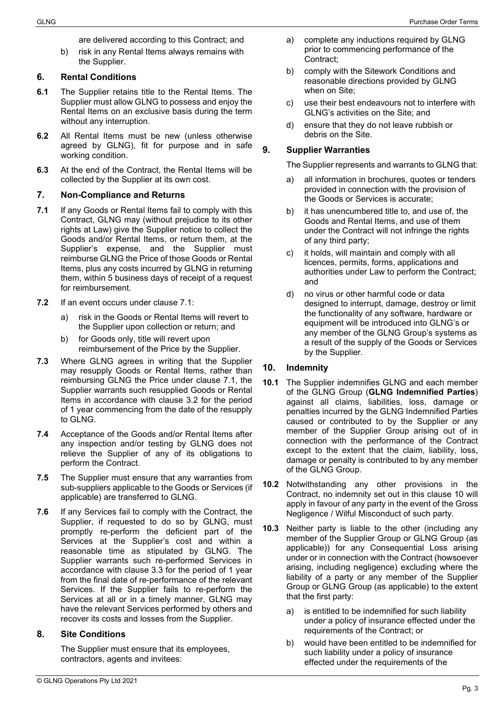are delivered according to this Contract; and

b) risk in any Rental Items always remains with the Supplier.

#### **6. Rental Conditions**

- **6.1** The Supplier retains title to the Rental Items. The Supplier must allow GLNG to possess and enjoy the Rental Items on an exclusive basis during the term without any interruption.
- **6.2** All Rental Items must be new (unless otherwise agreed by GLNG), fit for purpose and in safe working condition.
- **6.3** At the end of the Contract, the Rental Items will be collected by the Supplier at its own cost.

#### **7. Non-Compliance and Returns**

- <span id="page-2-0"></span>**7.1** If any Goods or Rental Items fail to comply with this Contract, GLNG may (without prejudice to its other rights at Law) give the Supplier notice to collect the Goods and/or Rental Items, or return them, at the Supplier's expense, and the Supplier must reimburse GLNG the Price of those Goods or Rental Items, plus any costs incurred by GLNG in returning them, within 5 business days of receipt of a request for reimbursement.
- **7.2** If an event occurs under clause [7.1:](#page-2-0)
	- a) risk in the Goods or Rental Items will revert to the Supplier upon collection or return; and
	- b) for Goods only, title will revert upon reimbursement of the Price by the Supplier.
- **7.3** Where GLNG agrees in writing that the Supplier may resupply Goods or Rental Items, rather than reimbursing GLNG the Price under clause [7.1,](#page-2-0) the Supplier warrants such resupplied Goods or Rental Items in accordance with clause [3.2](#page-1-1) for the period of 1 year commencing from the date of the resupply to GLNG.
- **7.4** Acceptance of the Goods and/or Rental Items after any inspection and/or testing by GLNG does not relieve the Supplier of any of its obligations to perform the Contract.
- **7.5** The Supplier must ensure that any warranties from sub-suppliers applicable to the Goods or Services (if applicable) are transferred to GLNG.
- **7.6** If any Services fail to comply with the Contract, the Supplier, if requested to do so by GLNG, must promptly re-perform the deficient part of the Services at the Supplier's cost and within a reasonable time as stipulated by GLNG. The Supplier warrants such re-performed Services in accordance with clause [3.3](#page-1-2) for the period of 1 year from the final date of re-performance of the relevant Services. If the Supplier fails to re-perform the Services at all or in a timely manner, GLNG may have the relevant Services performed by others and recover its costs and losses from the Supplier.

#### **8. Site Conditions**

The Supplier must ensure that its employees, contractors, agents and invitees:

- a) complete any inductions required by GLNG prior to commencing performance of the Contract;
- b) comply with the Sitework Conditions and reasonable directions provided by GLNG when on Site;
- c) use their best endeavours not to interfere with GLNG's activities on the Site; and
- d) ensure that they do not leave rubbish or debris on the Site.

#### **9. Supplier Warranties**

The Supplier represents and warrants to GLNG that:

- a) all information in brochures, quotes or tenders provided in connection with the provision of the Goods or Services is accurate;
- b) it has unencumbered title to, and use of, the Goods and Rental Items, and use of them under the Contract will not infringe the rights of any third party;
- c) it holds, will maintain and comply with all licences, permits, forms, applications and authorities under Law to perform the Contract; and
- d) no virus or other harmful code or data designed to interrupt, damage, destroy or limit the functionality of any software, hardware or equipment will be introduced into GLNG's or any member of the GLNG Group's systems as a result of the supply of the Goods or Services by the Supplier.

## <span id="page-2-1"></span>**10. Indemnity**

- **10.1** The Supplier indemnifies GLNG and each member of the GLNG Group (**GLNG Indemnified Parties**) against all claims, liabilities, loss, damage or penalties incurred by the GLNG Indemnified Parties caused or contributed to by the Supplier or any member of the Supplier Group arising out of in connection with the performance of the Contract except to the extent that the claim, liability, loss, damage or penalty is contributed to by any member of the GLNG Group.
- **10.2** Notwithstanding any other provisions in the Contract, no indemnity set out in this clause 10 will apply in favour of any party in the event of the Gross Negligence / Wilful Misconduct of such party.
- **10.3** Neither party is liable to the other (including any member of the Supplier Group or GLNG Group (as applicable)) for any Consequential Loss arising under or in connection with the Contract (howsoever arising, including negligence) excluding where the liability of a party or any member of the Supplier Group or GLNG Group (as applicable) to the extent that the first party:
	- a) is entitled to be indemnified for such liability under a policy of insurance effected under the requirements of the Contract; or
	- b) would have been entitled to be indemnified for such liability under a policy of insurance effected under the requirements of the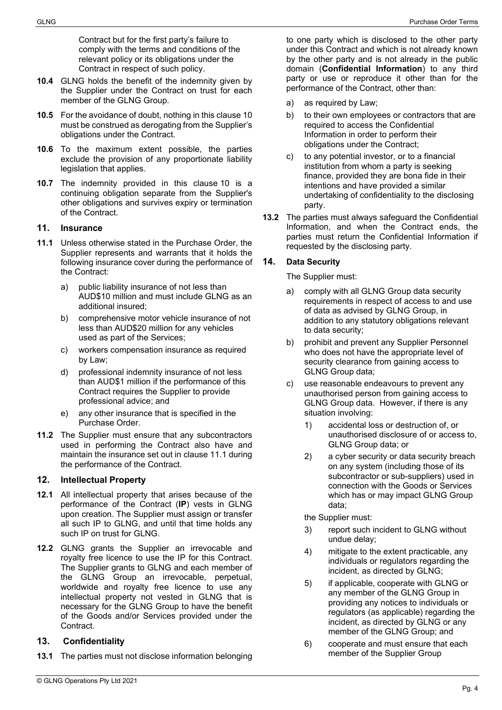Contract but for the first party's failure to comply with the terms and conditions of the relevant policy or its obligations under the Contract in respect of such policy.

- **10.4** GLNG holds the benefit of the indemnity given by the Supplier under the Contract on trust for each member of the GLNG Group.
- **10.5** For the avoidance of doubt, nothing in this clause 10 must be construed as derogating from the Supplier's obligations under the Contract.
- **10.6** To the maximum extent possible, the parties exclude the provision of any proportionate liability legislation that applies.
- **10.7** The indemnity provided in this clause [10](#page-2-1) is a continuing obligation separate from the Supplier's other obligations and survives expiry or termination of the Contract.

#### **11. Insurance**

- **11.1** Unless otherwise stated in the Purchase Order, the Supplier represents and warrants that it holds the following insurance cover during the performance of the Contract:
	- a) public liability insurance of not less than AUD\$10 million and must include GLNG as an additional insured;
	- b) comprehensive motor vehicle insurance of not less than AUD\$20 million for any vehicles used as part of the Services;
	- c) workers compensation insurance as required by Law;
	- d) professional indemnity insurance of not less than AUD\$1 million if the performance of this Contract requires the Supplier to provide professional advice; and
	- e) any other insurance that is specified in the Purchase Order.
- **11.2** The Supplier must ensure that any subcontractors used in performing the Contract also have and maintain the insurance set out in clause 11.1 during the performance of the Contract.

#### **12. Intellectual Property**

- **12.1** All intellectual property that arises because of the performance of the Contract (**IP**) vests in GLNG upon creation. The Supplier must assign or transfer all such IP to GLNG, and until that time holds any such IP on trust for GLNG.
- **12.2** GLNG grants the Supplier an irrevocable and royalty free licence to use the IP for this Contract. The Supplier grants to GLNG and each member of the GLNG Group an irrevocable, perpetual, worldwide and royalty free licence to use any intellectual property not vested in GLNG that is necessary for the GLNG Group to have the benefit of the Goods and/or Services provided under the Contract.

## **13. Confidentiality**

**13.1** The parties must not disclose information belonging

to one party which is disclosed to the other party under this Contract and which is not already known by the other party and is not already in the public domain (**Confidential Information**) to any third party or use or reproduce it other than for the performance of the Contract, other than:

- a) as required by Law;
- b) to their own employees or contractors that are required to access the Confidential Information in order to perform their obligations under the Contract;
- c) to any potential investor, or to a financial institution from whom a party is seeking finance, provided they are bona fide in their intentions and have provided a similar undertaking of confidentiality to the disclosing party.
- **13.2** The parties must always safeguard the Confidential Information, and when the Contract ends, the parties must return the Confidential Information if requested by the disclosing party.

## **14. Data Security**

The Supplier must:

- a) comply with all GLNG Group data security requirements in respect of access to and use of data as advised by GLNG Group, in addition to any statutory obligations relevant to data security;
- b) prohibit and prevent any Supplier Personnel who does not have the appropriate level of security clearance from gaining access to GLNG Group data;
- c) use reasonable endeavours to prevent any unauthorised person from gaining access to GLNG Group data. However, if there is any situation involving:
	- 1) accidental loss or destruction of, or unauthorised disclosure of or access to, GLNG Group data; or
	- 2) a cyber security or data security breach on any system (including those of its subcontractor or sub-suppliers) used in connection with the Goods or Services which has or may impact GLNG Group data;

the Supplier must:

- 3) report such incident to GLNG without undue delay;
- 4) mitigate to the extent practicable, any individuals or regulators regarding the incident, as directed by GLNG;
- 5) if applicable, cooperate with GLNG or any member of the GLNG Group in providing any notices to individuals or regulators (as applicable) regarding the incident, as directed by GLNG or any member of the GLNG Group; and
- 6) cooperate and must ensure that each member of the Supplier Group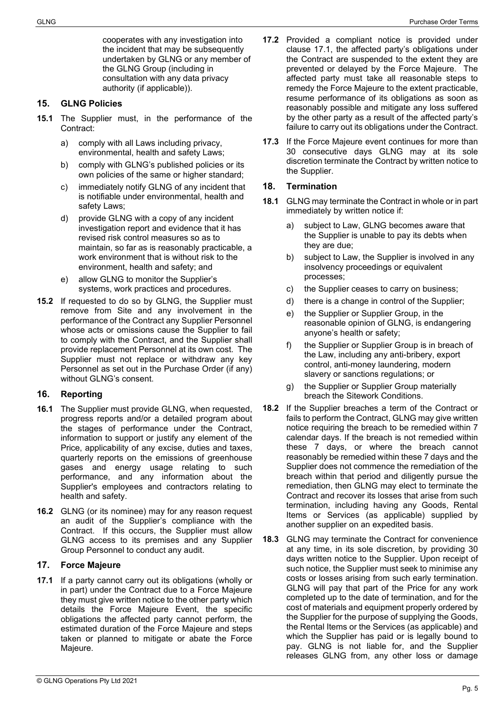cooperates with any investigation into the incident that may be subsequently undertaken by GLNG or any member of the GLNG Group (including in consultation with any data privacy authority (if applicable)).

#### **15. GLNG Policies**

- **15.1** The Supplier must, in the performance of the Contract:
	- a) comply with all Laws including privacy, environmental, health and safety Laws;
	- b) comply with GLNG's published policies or its own policies of the same or higher standard;
	- c) immediately notify GLNG of any incident that is notifiable under environmental, health and safety Laws;
	- d) provide GLNG with a copy of any incident investigation report and evidence that it has revised risk control measures so as to maintain, so far as is reasonably practicable, a work environment that is without risk to the environment, health and safety; and
	- e) allow GLNG to monitor the Supplier's systems, work practices and procedures.
- **15.2** If requested to do so by GLNG, the Supplier must remove from Site and any involvement in the performance of the Contract any Supplier Personnel whose acts or omissions cause the Supplier to fail to comply with the Contract, and the Supplier shall provide replacement Personnel at its own cost. The Supplier must not replace or withdraw any key Personnel as set out in the Purchase Order (if any) without GLNG's consent.

# **16. Reporting**

- **16.1** The Supplier must provide GLNG, when requested, progress reports and/or a detailed program about the stages of performance under the Contract, information to support or justify any element of the Price, applicability of any excise, duties and taxes, quarterly reports on the emissions of greenhouse gases and energy usage relating to such performance, and any information about the Supplier's employees and contractors relating to health and safety.
- **16.2** GLNG (or its nominee) may for any reason request an audit of the Supplier's compliance with the Contract. If this occurs, the Supplier must allow GLNG access to its premises and any Supplier Group Personnel to conduct any audit.

# **17. Force Majeure**

**17.1** If a party cannot carry out its obligations (wholly or in part) under the Contract due to a Force Majeure they must give written notice to the other party which details the Force Majeure Event, the specific obligations the affected party cannot perform, the estimated duration of the Force Majeure and steps taken or planned to mitigate or abate the Force Majeure.

- **17.2** Provided a compliant notice is provided under clause 17.1, the affected party's obligations under the Contract are suspended to the extent they are prevented or delayed by the Force Majeure. The affected party must take all reasonable steps to remedy the Force Majeure to the extent practicable, resume performance of its obligations as soon as reasonably possible and mitigate any loss suffered by the other party as a result of the affected party's failure to carry out its obligations under the Contract.
- **17.3** If the Force Majeure event continues for more than 30 consecutive days GLNG may at its sole discretion terminate the Contract by written notice to the Supplier.

# **18. Termination**

- **18.1** GLNG may terminate the Contract in whole or in part immediately by written notice if:
	- a) subject to Law, GLNG becomes aware that the Supplier is unable to pay its debts when they are due;
	- b) subject to Law, the Supplier is involved in any insolvency proceedings or equivalent processes;
	- c) the Supplier ceases to carry on business;
	- d) there is a change in control of the Supplier;
	- e) the Supplier or Supplier Group, in the reasonable opinion of GLNG, is endangering anyone's health or safety;
	- f) the Supplier or Supplier Group is in breach of the Law, including any anti-bribery, export control, anti-money laundering, modern slavery or sanctions regulations; or
	- g) the Supplier or Supplier Group materially breach the Sitework Conditions.
- **18.2** If the Supplier breaches a term of the Contract or fails to perform the Contract, GLNG may give written notice requiring the breach to be remedied within 7 calendar days. If the breach is not remedied within these 7 days, or where the breach cannot reasonably be remedied within these 7 days and the Supplier does not commence the remediation of the breach within that period and diligently pursue the remediation, then GLNG may elect to terminate the Contract and recover its losses that arise from such termination, including having any Goods, Rental Items or Services (as applicable) supplied by another supplier on an expedited basis.
- **18.3** GLNG may terminate the Contract for convenience at any time, in its sole discretion, by providing 30 days written notice to the Supplier. Upon receipt of such notice, the Supplier must seek to minimise any costs or losses arising from such early termination. GLNG will pay that part of the Price for any work completed up to the date of termination, and for the cost of materials and equipment properly ordered by the Supplier for the purpose of supplying the Goods, the Rental Items or the Services (as applicable) and which the Supplier has paid or is legally bound to pay. GLNG is not liable for, and the Supplier releases GLNG from, any other loss or damage